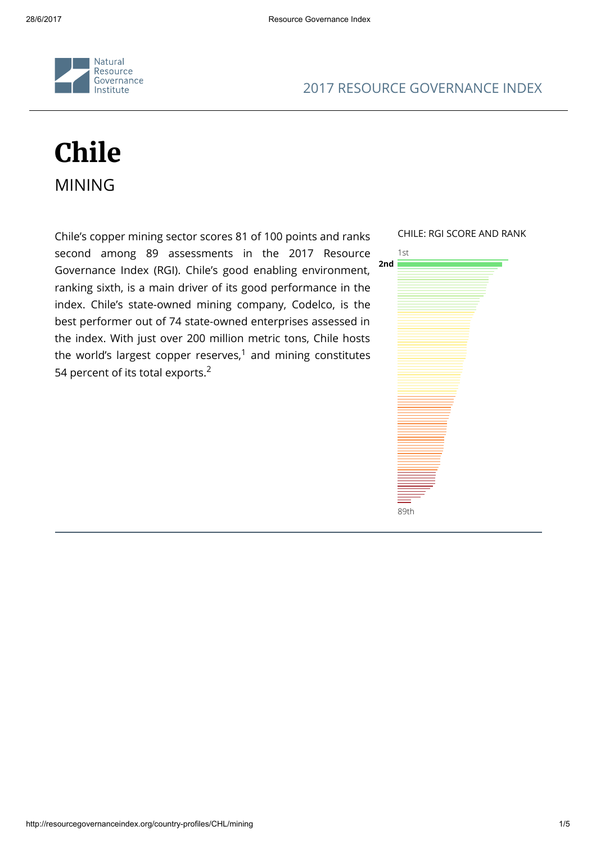

### 2017 RESOURCE GOVERNANCE INDEX

# Chile MINING

Chile's copper mining sector scores 81 of 100 points and ranks second among 89 assessments in the 2017 Resource Governance Index (RGI). Chile's good enabling environment, ranking sixth, is a main driver of its good performance in the index. Chile's state-owned mining company, Codelco, is the best performer out of 74 state-owned enterprises assessed in the index. With just over 200 million metric tons, Chile hosts the world's largest copper reserves, $^1$  and mining constitutes 54 percent of its total exports. $2$ 

CHILE: RGI SCORE AND RANK

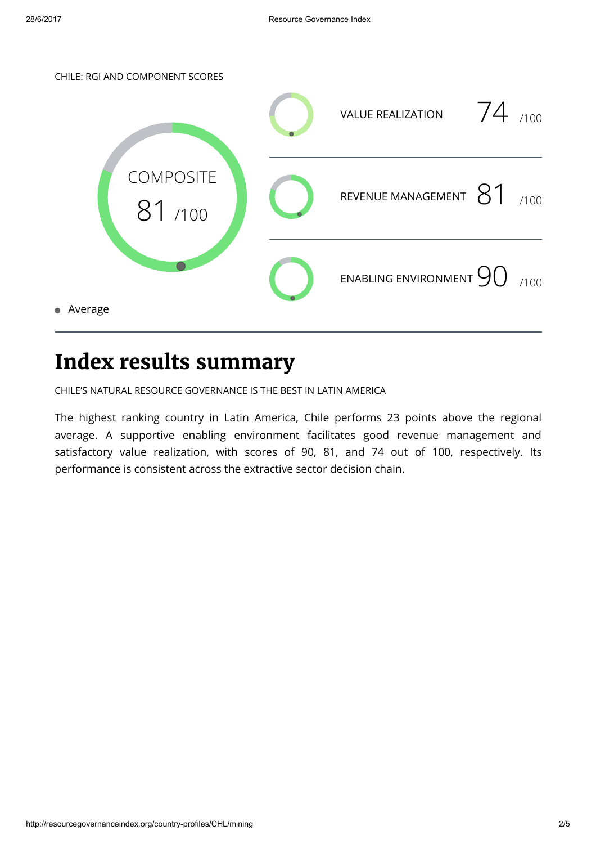

### Index results summary

CHILE'S NATURAL RESOURCE GOVERNANCE IS THE BEST IN LATIN AMERICA

The highest ranking country in Latin America, Chile performs 23 points above the regional average. A supportive enabling environment facilitates good revenue management and satisfactory value realization, with scores of 90, 81, and 74 out of 100, respectively. Its performance is consistent across the extractive sector decision chain.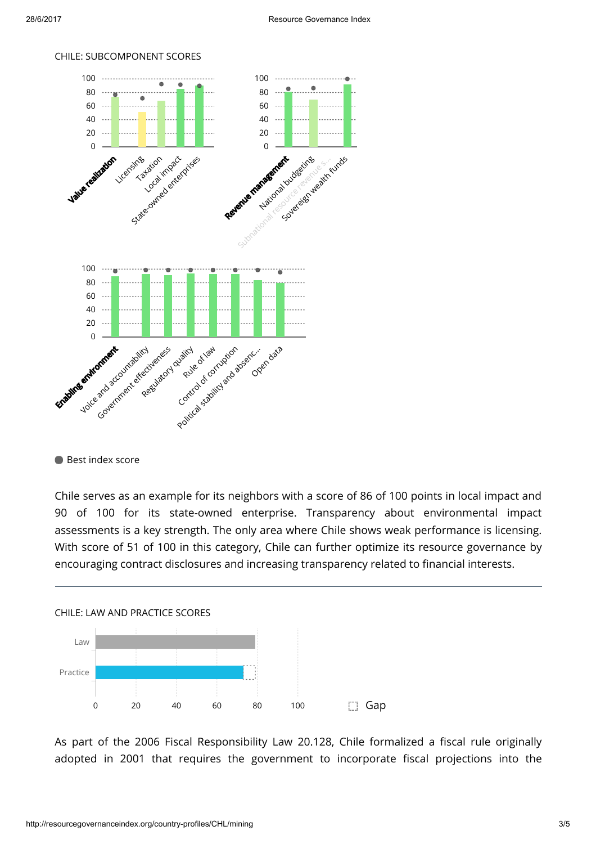

#### CHILE: SUBCOMPONENT SCORES

**Best index score** 

Chile serves as an example for its neighbors with a score of 86 of 100 points in local impact and 90 of 100 for its state-owned enterprise. Transparency about environmental impact assessments is a key strength. The only area where Chile shows weak performance is licensing. With score of 51 of 100 in this category, Chile can further optimize its resource governance by encouraging contract disclosures and increasing transparency related to financial interests.



As part of the 2006 Fiscal Responsibility Law 20.128, Chile formalized a fiscal rule originally adopted in 2001 that requires the government to incorporate fiscal projections into the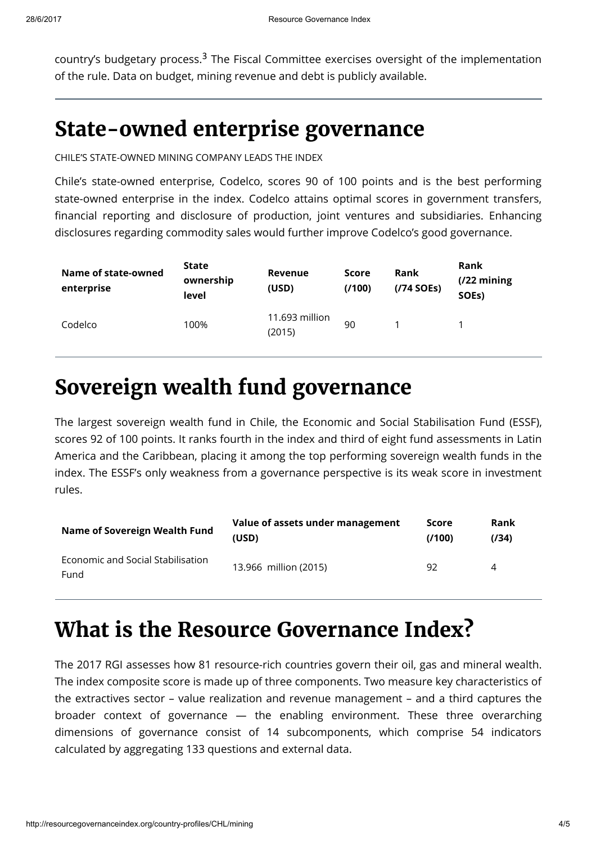country's budgetary process.<sup>3</sup> The Fiscal Committee exercises oversight of the implementation of the rule. Data on budget, mining revenue and debt is publicly available.

### State-owned enterprise governance

CHILE'S STATE-OWNED MINING COMPANY LEADS THE INDEX

Chile's state-owned enterprise, Codelco, scores 90 of 100 points and is the best performing state-owned enterprise in the index. Codelco attains optimal scores in government transfers, financial reporting and disclosure of production, joint ventures and subsidiaries. Enhancing disclosures regarding commodity sales would further improve Codelco's good governance.

| Name of state-owned<br>enterprise | <b>State</b><br>ownership<br>level | <b>Revenue</b><br>(USD)  | <b>Score</b><br>(7100) | <b>Rank</b><br>$(774$ SOEs) | <b>Rank</b><br>$(722 \text{ mining})$<br>SOE <sub>s</sub> ) |
|-----------------------------------|------------------------------------|--------------------------|------------------------|-----------------------------|-------------------------------------------------------------|
| Codelco                           | 100%                               | 11.693 million<br>(2015) | 90                     |                             |                                                             |

### Sovereign wealth fund governance

The largest sovereign wealth fund in Chile, the Economic and Social Stabilisation Fund (ESSF), scores 92 of 100 points. It ranks fourth in the index and third of eight fund assessments in Latin America and the Caribbean, placing it among the top performing sovereign wealth funds in the index. The ESSF's only weakness from a governance perspective is its weak score in investment rules.

| <b>Name of Sovereign Wealth Fund</b>      | Value of assets under management | Score  | Rank  |
|-------------------------------------------|----------------------------------|--------|-------|
|                                           | (USD)                            | (7100) | (134) |
| Economic and Social Stabilisation<br>Fund | 13.966 million (2015)            | 92     | 4     |

## What is the Resource Governance Index?

The 2017 RGI assesses how 81 resource-rich countries govern their oil, gas and mineral wealth. The index composite score is made up of three components. Two measure key characteristics of the extractives sector – value realization and revenue management – and a third captures the broader context of governance — the enabling environment. These three overarching dimensions of governance consist of 14 subcomponents, which comprise 54 indicators calculated by aggregating 133 questions and external data.